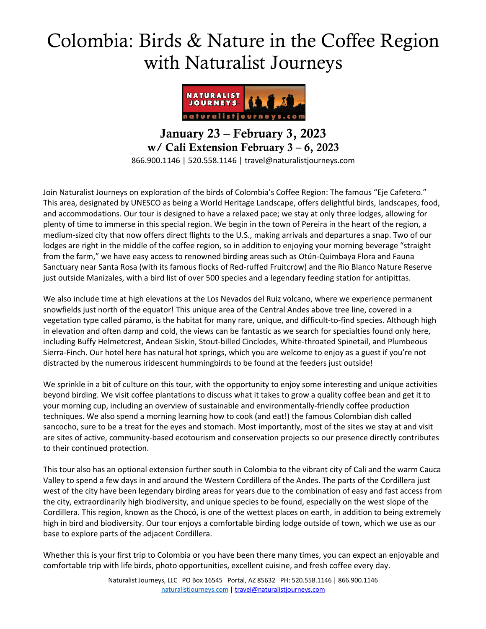# Colombia: Birds & Nature in the Coffee Region with Naturalist Journeys



January 23 – February 3, 2023 w/ Cali Extension February 3 – 6, 2023 866.900.1146 | 520.558.1146 | travel@naturalistjourneys.com

Join Naturalist Journeys on exploration of the birds of Colombia's Coffee Region: The famous "Eje Cafetero." This area, designated by UNESCO as being a World Heritage Landscape, offers delightful birds, landscapes, food, and accommodations. Our tour is designed to have a relaxed pace; we stay at only three lodges, allowing for plenty of time to immerse in this special region. We begin in the town of Pereira in the heart of the region, a medium-sized city that now offers direct flights to the U.S., making arrivals and departures a snap. Two of our lodges are right in the middle of the coffee region, so in addition to enjoying your morning beverage "straight from the farm," we have easy access to renowned birding areas such as Otún-Quimbaya Flora and Fauna Sanctuary near Santa Rosa (with its famous flocks of Red-ruffed Fruitcrow) and the Rio Blanco Nature Reserve just outside Manizales, with a bird list of over 500 species and a legendary feeding station for antipittas.

We also include time at high elevations at the Los Nevados del Ruiz volcano, where we experience permanent snowfields just north of the equator! This unique area of the Central Andes above tree line, covered in a vegetation type called páramo, is the habitat for many rare, unique, and difficult-to-find species. Although high in elevation and often damp and cold, the views can be fantastic as we search for specialties found only here, including Buffy Helmetcrest, Andean Siskin, Stout-billed Cinclodes, White-throated Spinetail, and Plumbeous Sierra-Finch. Our hotel here has natural hot springs, which you are welcome to enjoy as a guest if you're not distracted by the numerous iridescent hummingbirds to be found at the feeders just outside!

We sprinkle in a bit of culture on this tour, with the opportunity to enjoy some interesting and unique activities beyond birding. We visit coffee plantations to discuss what it takes to grow a quality coffee bean and get it to your morning cup, including an overview of sustainable and environmentally-friendly coffee production techniques. We also spend a morning learning how to cook (and eat!) the famous Colombian dish called sancocho, sure to be a treat for the eyes and stomach. Most importantly, most of the sites we stay at and visit are sites of active, community-based ecotourism and conservation projects so our presence directly contributes to their continued protection.

This tour also has an optional extension further south in Colombia to the vibrant city of Cali and the warm Cauca Valley to spend a few days in and around the Western Cordillera of the Andes. The parts of the Cordillera just west of the city have been legendary birding areas for years due to the combination of easy and fast access from the city, extraordinarily high biodiversity, and unique species to be found, especially on the west slope of the Cordillera. This region, known as the Chocó, is one of the wettest places on earth, in addition to being extremely high in bird and biodiversity. Our tour enjoys a comfortable birding lodge outside of town, which we use as our base to explore parts of the adjacent Cordillera.

Whether this is your first trip to Colombia or you have been there many times, you can expect an enjoyable and comfortable trip with life birds, photo opportunities, excellent cuisine, and fresh coffee every day.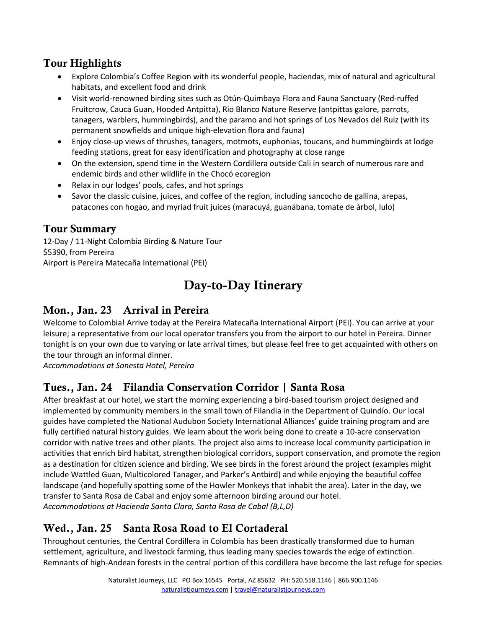#### Tour Highlights

- Explore Colombia's Coffee Region with its wonderful people, haciendas, mix of natural and agricultural habitats, and excellent food and drink
- Visit world-renowned birding sites such as Otún-Quimbaya Flora and Fauna Sanctuary (Red-ruffed Fruitcrow, Cauca Guan, Hooded Antpitta), Rio Blanco Nature Reserve (antpittas galore, parrots, tanagers, warblers, hummingbirds), and the paramo and hot springs of Los Nevados del Ruiz (with its permanent snowfields and unique high-elevation flora and fauna)
- Enjoy close-up views of thrushes, tanagers, motmots, euphonias, toucans, and hummingbirds at lodge feeding stations, great for easy identification and photography at close range
- On the extension, spend time in the Western Cordillera outside Cali in search of numerous rare and endemic birds and other wildlife in the Chocó ecoregion
- Relax in our lodges' pools, cafes, and hot springs
- Savor the classic cuisine, juices, and coffee of the region, including sancocho de gallina, arepas, patacones con hogao, and myriad fruit juices (maracuyá, guanábana, tomate de árbol, lulo)

#### Tour Summary

12-Day / 11-Night Colombia Birding & Nature Tour \$5390, from Pereira Airport is Pereira Matecaña International (PEI)

# Day-to-Day Itinerary

#### Mon., Jan. 23 Arrival in Pereira

Welcome to Colombia! Arrive today at the Pereira Matecaña International Airport (PEI). You can arrive at your leisure; a representative from our local operator transfers you from the airport to our hotel in Pereira. Dinner tonight is on your own due to varying or late arrival times, but please feel free to get acquainted with others on the tour through an informal dinner.

*Accommodations at Sonesta Hotel, Pereira*

#### Tues., Jan. 24 Filandia Conservation Corridor | Santa Rosa

After breakfast at our hotel, we start the morning experiencing a bird-based tourism project designed and implemented by community members in the small town of Filandia in the Department of Quindío. Our local guides have completed the National Audubon Society International Alliances' guide training program and are fully certified natural history guides. We learn about the work being done to create a 10-acre conservation corridor with native trees and other plants. The project also aims to increase local community participation in activities that enrich bird habitat, strengthen biological corridors, support conservation, and promote the region as a destination for citizen science and birding. We see birds in the forest around the project (examples might include Wattled Guan, Multicolored Tanager, and Parker's Antbird) and while enjoying the beautiful coffee landscape (and hopefully spotting some of the Howler Monkeys that inhabit the area). Later in the day, we transfer to Santa Rosa de Cabal and enjoy some afternoon birding around our hotel. *Accommodations at Hacienda Santa Clara, Santa Rosa de Cabal (B,L,D)*

#### Wed., Jan. 25 Santa Rosa Road to El Cortaderal

Throughout centuries, the Central Cordillera in Colombia has been drastically transformed due to human settlement, agriculture, and livestock farming, thus leading many species towards the edge of extinction. Remnants of high-Andean forests in the central portion of this cordillera have become the last refuge for species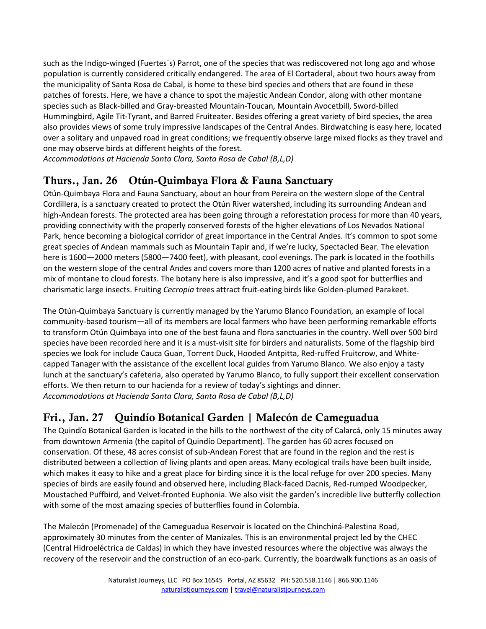such as the Indigo-winged (Fuertes´s) Parrot, one of the species that was rediscovered not long ago and whose population is currently considered critically endangered. The area of El Cortaderal, about two hours away from the municipality of Santa Rosa de Cabal, is home to these bird species and others that are found in these patches of forests. Here, we have a chance to spot the majestic Andean Condor, along with other montane species such as Black-billed and Gray-breasted Mountain-Toucan, Mountain Avocetbill, Sword-billed Hummingbird, Agile Tit-Tyrant, and Barred Fruiteater. Besides offering a great variety of bird species, the area also provides views of some truly impressive landscapes of the Central Andes. Birdwatching is easy here, located over a solitary and unpaved road in great conditions; we frequently observe large mixed flocks as they travel and one may observe birds at different heights of the forest.

*Accommodations at Hacienda Santa Clara, Santa Rosa de Cabal (B,L,D)*

## Thurs., Jan. 26 Otún-Quimbaya Flora & Fauna Sanctuary

Otún-Quimbaya Flora and Fauna Sanctuary, about an hour from Pereira on the western slope of the Central Cordillera, is a sanctuary created to protect the Otún River watershed, including its surrounding Andean and high-Andean forests. The protected area has been going through a reforestation process for more than 40 years, providing connectivity with the properly conserved forests of the higher elevations of Los Nevados National Park, hence becoming a biological corridor of great importance in the Central Andes. It's common to spot some great species of Andean mammals such as Mountain Tapir and, if we're lucky, Spectacled Bear. The elevation here is 1600—2000 meters (5800—7400 feet), with pleasant, cool evenings. The park is located in the foothills on the western slope of the central Andes and covers more than 1200 acres of native and planted forests in a mix of montane to cloud forests. The botany here is also impressive, and it's a good spot for butterflies and charismatic large insects. Fruiting *Cecropia* trees attract fruit-eating birds like Golden-plumed Parakeet.

The Otún-Quimbaya Sanctuary is currently managed by the Yarumo Blanco Foundation, an example of local community-based tourism—all of its members are local farmers who have been performing remarkable efforts to transform Otún Quimbaya into one of the best fauna and flora sanctuaries in the country. Well over 500 bird species have been recorded here and it is a must-visit site for birders and naturalists. Some of the flagship bird species we look for include Cauca Guan, Torrent Duck, Hooded Antpitta, Red-ruffed Fruitcrow, and Whitecapped Tanager with the assistance of the excellent local guides from Yarumo Blanco. We also enjoy a tasty lunch at the sanctuary's cafeteria, also operated by Yarumo Blanco, to fully support their excellent conservation efforts. We then return to our hacienda for a review of today's sightings and dinner. *Accommodations at Hacienda Santa Clara, Santa Rosa de Cabal (B,L,D)*

## Fri., Jan. 27 Quindío Botanical Garden | Malecón de Cameguadua

The Quindío Botanical Garden is located in the hills to the northwest of the city of Calarcá, only 15 minutes away from downtown Armenia (the capitol of Quindío Department). The garden has 60 acres focused on conservation. Of these, 48 acres consist of sub-Andean Forest that are found in the region and the rest is distributed between a collection of living plants and open areas. Many ecological trails have been built inside, which makes it easy to hike and a great place for birding since it is the local refuge for over 200 species. Many species of birds are easily found and observed here, including Black-faced Dacnis, Red-rumped Woodpecker, Moustached Puffbird, and Velvet-fronted Euphonia. We also visit the garden's incredible live butterfly collection with some of the most amazing species of butterflies found in Colombia.

The Malecón (Promenade) of the Cameguadua Reservoir is located on the Chinchiná-Palestina Road, approximately 30 minutes from the center of Manizales. This is an environmental project led by the CHEC (Central Hidroeléctrica de Caldas) in which they have invested resources where the objective was always the recovery of the reservoir and the construction of an eco-park. Currently, the boardwalk functions as an oasis of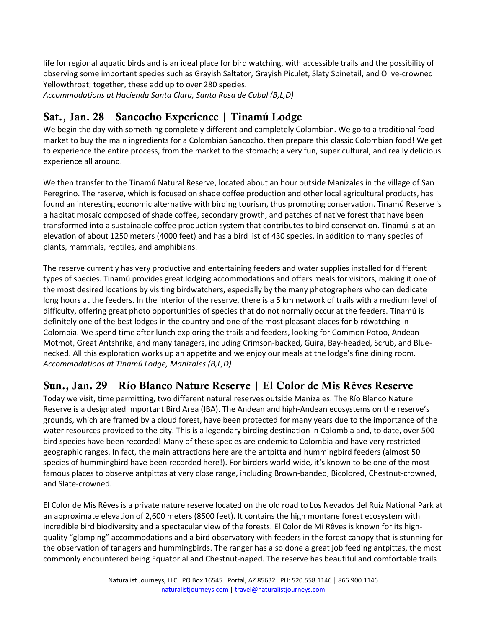life for regional aquatic birds and is an ideal place for bird watching, with accessible trails and the possibility of observing some important species such as Grayish Saltator, Grayish Piculet, Slaty Spinetail, and Olive-crowned Yellowthroat; together, these add up to over 280 species. *Accommodations at Hacienda Santa Clara, Santa Rosa de Cabal (B,L,D)*

Sat., Jan. 28 Sancocho Experience | Tinamú Lodge

We begin the day with something completely different and completely Colombian. We go to a traditional food market to buy the main ingredients for a Colombian Sancocho, then prepare this classic Colombian food! We get to experience the entire process, from the market to the stomach; a very fun, super cultural, and really delicious experience all around.

We then transfer to the Tinamú Natural Reserve, located about an hour outside Manizales in the village of San Peregrino. The reserve, which is focused on shade coffee production and other local agricultural products, has found an interesting economic alternative with birding tourism, thus promoting conservation. Tinamú Reserve is a habitat mosaic composed of shade coffee, secondary growth, and patches of native forest that have been transformed into a sustainable coffee production system that contributes to bird conservation. Tinamú is at an elevation of about 1250 meters (4000 feet) and has a bird list of 430 species, in addition to many species of plants, mammals, reptiles, and amphibians.

The reserve currently has very productive and entertaining feeders and water supplies installed for different types of species. Tinamú provides great lodging accommodations and offers meals for visitors, making it one of the most desired locations by visiting birdwatchers, especially by the many photographers who can dedicate long hours at the feeders. In the interior of the reserve, there is a 5 km network of trails with a medium level of difficulty, offering great photo opportunities of species that do not normally occur at the feeders. Tinamú is definitely one of the best lodges in the country and one of the most pleasant places for birdwatching in Colombia. We spend time after lunch exploring the trails and feeders, looking for Common Potoo, Andean Motmot, Great Antshrike, and many tanagers, including Crimson-backed, Guira, Bay-headed, Scrub, and Bluenecked. All this exploration works up an appetite and we enjoy our meals at the lodge's fine dining room. *Accommodations at Tinamú Lodge, Manizales (B,L,D)*

## Sun., Jan. 29 Río Blanco Nature Reserve | El Color de Mis Rêves Reserve

Today we visit, time permitting, two different natural reserves outside Manizales. The Río Blanco Nature Reserve is a designated Important Bird Area (IBA). The Andean and high-Andean ecosystems on the reserve's grounds, which are framed by a cloud forest, have been protected for many years due to the importance of the water resources provided to the city. This is a legendary birding destination in Colombia and, to date, over 500 bird species have been recorded! Many of these species are endemic to Colombia and have very restricted geographic ranges. In fact, the main attractions here are the antpitta and hummingbird feeders (almost 50 species of hummingbird have been recorded here!). For birders world-wide, it's known to be one of the most famous places to observe antpittas at very close range, including Brown-banded, Bicolored, Chestnut-crowned, and Slate-crowned.

El Color de Mis Rêves is a private nature reserve located on the old road to Los Nevados del Ruiz National Park at an approximate elevation of 2,600 meters (8500 feet). It contains the high montane forest ecosystem with incredible bird biodiversity and a spectacular view of the forests. El Color de Mi Rêves is known for its highquality "glamping" accommodations and a bird observatory with feeders in the forest canopy that is stunning for the observation of tanagers and hummingbirds. The ranger has also done a great job feeding antpittas, the most commonly encountered being Equatorial and Chestnut-naped. The reserve has beautiful and comfortable trails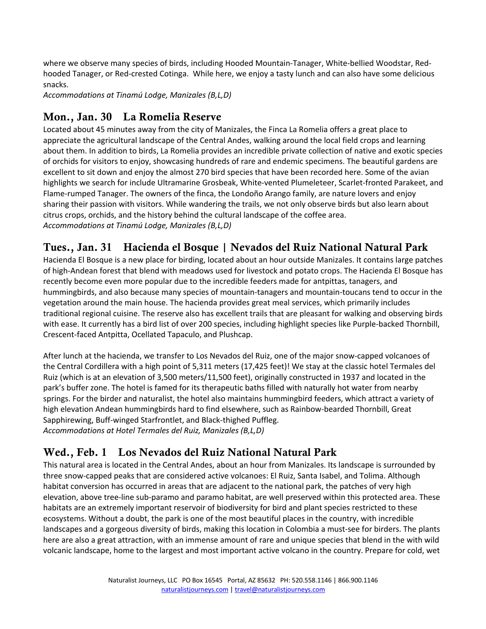where we observe many species of birds, including Hooded Mountain-Tanager, White-bellied Woodstar, Redhooded Tanager, or Red-crested Cotinga. While here, we enjoy a tasty lunch and can also have some delicious snacks.

*Accommodations at Tinamú Lodge, Manizales (B,L,D)*

## Mon., Jan. 30 La Romelia Reserve

Located about 45 minutes away from the city of Manizales, the Finca La Romelia offers a great place to appreciate the agricultural landscape of the Central Andes, walking around the local field crops and learning about them. In addition to birds, La Romelia provides an incredible private collection of native and exotic species of orchids for visitors to enjoy, showcasing hundreds of rare and endemic specimens. The beautiful gardens are excellent to sit down and enjoy the almost 270 bird species that have been recorded here. Some of the avian highlights we search for include Ultramarine Grosbeak, White-vented Plumeleteer, Scarlet-fronted Parakeet, and Flame-rumped Tanager. The owners of the finca, the Londoño Arango family, are nature lovers and enjoy sharing their passion with visitors. While wandering the trails, we not only observe birds but also learn about citrus crops, orchids, and the history behind the cultural landscape of the coffee area. *Accommodations at Tinamú Lodge, Manizales (B,L,D)*

## Tues., Jan. 31 Hacienda el Bosque | Nevados del Ruiz National Natural Park

Hacienda El Bosque is a new place for birding, located about an hour outside Manizales. It contains large patches of high-Andean forest that blend with meadows used for livestock and potato crops. The Hacienda El Bosque has recently become even more popular due to the incredible feeders made for antpittas, tanagers, and hummingbirds, and also because many species of mountain-tanagers and mountain-toucans tend to occur in the vegetation around the main house. The hacienda provides great meal services, which primarily includes traditional regional cuisine. The reserve also has excellent trails that are pleasant for walking and observing birds with ease. It currently has a bird list of over 200 species, including highlight species like Purple-backed Thornbill, Crescent-faced Antpitta, Ocellated Tapaculo, and Plushcap.

After lunch at the hacienda, we transfer to Los Nevados del Ruiz, one of the major snow-capped volcanoes of the Central Cordillera with a high point of 5,311 meters (17,425 feet)! We stay at the classic hotel Termales del Ruiz (which is at an elevation of 3,500 meters/11,500 feet), originally constructed in 1937 and located in the park's buffer zone. The hotel is famed for its therapeutic baths filled with naturally hot water from nearby springs. For the birder and naturalist, the hotel also maintains hummingbird feeders, which attract a variety of high elevation Andean hummingbirds hard to find elsewhere, such as Rainbow-bearded Thornbill, Great Sapphirewing, Buff-winged Starfrontlet, and Black-thighed Puffleg. *Accommodations at Hotel Termales del Ruiz, Manizales (B,L,D)*

## Wed., Feb. 1 Los Nevados del Ruiz National Natural Park

This natural area is located in the Central Andes, about an hour from Manizales. Its landscape is surrounded by three snow-capped peaks that are considered active volcanoes: El Ruiz, Santa Isabel, and Tolima. Although habitat conversion has occurred in areas that are adjacent to the national park, the patches of very high elevation, above tree-line sub-paramo and paramo habitat, are well preserved within this protected area. These habitats are an extremely important reservoir of biodiversity for bird and plant species restricted to these ecosystems. Without a doubt, the park is one of the most beautiful places in the country, with incredible landscapes and a gorgeous diversity of birds, making this location in Colombia a must-see for birders. The plants here are also a great attraction, with an immense amount of rare and unique species that blend in the with wild volcanic landscape, home to the largest and most important active volcano in the country. Prepare for cold, wet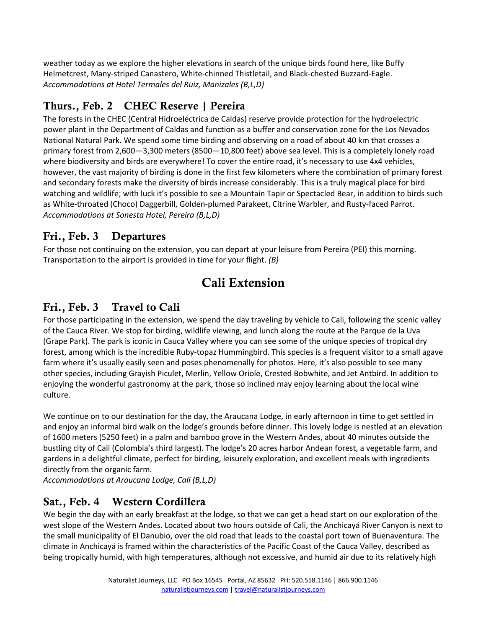weather today as we explore the higher elevations in search of the unique birds found here, like Buffy Helmetcrest, Many-striped Canastero, White-chinned Thistletail, and Black-chested Buzzard-Eagle. *Accommodations at Hotel Termales del Ruiz, Manizales (B,L,D)*

## Thurs., Feb. 2 CHEC Reserve | Pereira

The forests in the CHEC (Central Hidroeléctrica de Caldas) reserve provide protection for the hydroelectric power plant in the Department of Caldas and function as a buffer and conservation zone for the Los Nevados National Natural Park. We spend some time birding and observing on a road of about 40 km that crosses a primary forest from 2,600—3,300 meters (8500—10,800 feet) above sea level. This is a completely lonely road where biodiversity and birds are everywhere! To cover the entire road, it's necessary to use 4x4 vehicles, however, the vast majority of birding is done in the first few kilometers where the combination of primary forest and secondary forests make the diversity of birds increase considerably. This is a truly magical place for bird watching and wildlife; with luck it's possible to see a Mountain Tapir or Spectacled Bear, in addition to birds such as White-throated (Choco) Daggerbill, Golden-plumed Parakeet, Citrine Warbler, and Rusty-faced Parrot. *Accommodations at Sonesta Hotel, Pereira (B,L,D)*

## Fri., Feb. 3 Departures

For those not continuing on the extension, you can depart at your leisure from Pereira (PEI) this morning. Transportation to the airport is provided in time for your flight. *(B)*

# Cali Extension

## Fri., Feb. 3 Travel to Cali

For those participating in the extension, we spend the day traveling by vehicle to Cali, following the scenic valley of the Cauca River. We stop for birding, wildlife viewing, and lunch along the route at the Parque de la Uva (Grape Park). The park is iconic in Cauca Valley where you can see some of the unique species of tropical dry forest, among which is the incredible Ruby-topaz Hummingbird. This species is a frequent visitor to a small agave farm where it's usually easily seen and poses phenomenally for photos. Here, it's also possible to see many other species, including Grayish Piculet, Merlin, Yellow Oriole, Crested Bobwhite, and Jet Antbird. In addition to enjoying the wonderful gastronomy at the park, those so inclined may enjoy learning about the local wine culture.

We continue on to our destination for the day, the Araucana Lodge, in early afternoon in time to get settled in and enjoy an informal bird walk on the lodge's grounds before dinner. This lovely lodge is nestled at an elevation of 1600 meters (5250 feet) in a palm and bamboo grove in the Western Andes, about 40 minutes outside the bustling city of Cali (Colombia's third largest). The lodge's 20 acres harbor Andean forest, a vegetable farm, and gardens in a delightful climate, perfect for birding, leisurely exploration, and excellent meals with ingredients directly from the organic farm.

*Accommodations at Araucana Lodge, Cali (B,L,D)*

#### Sat., Feb. 4 Western Cordillera

We begin the day with an early breakfast at the lodge, so that we can get a head start on our exploration of the west slope of the Western Andes. Located about two hours outside of Cali, the Anchicayá River Canyon is next to the small municipality of El Danubio, over the old road that leads to the coastal port town of Buenaventura. The climate in Anchicayá is framed within the characteristics of the Pacific Coast of the Cauca Valley, described as being tropically humid, with high temperatures, although not excessive, and humid air due to its relatively high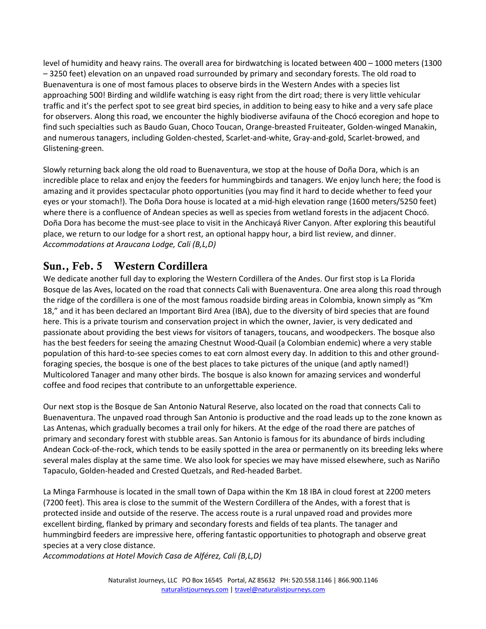level of humidity and heavy rains. The overall area for birdwatching is located between 400 – 1000 meters (1300 – 3250 feet) elevation on an unpaved road surrounded by primary and secondary forests. The old road to Buenaventura is one of most famous places to observe birds in the Western Andes with a species list approaching 500! Birding and wildlife watching is easy right from the dirt road; there is very little vehicular traffic and it's the perfect spot to see great bird species, in addition to being easy to hike and a very safe place for observers. Along this road, we encounter the highly biodiverse avifauna of the Chocó ecoregion and hope to find such specialties such as Baudo Guan, Choco Toucan, Orange-breasted Fruiteater, Golden-winged Manakin, and numerous tanagers, including Golden-chested, Scarlet-and-white, Gray-and-gold, Scarlet-browed, and Glistening-green.

Slowly returning back along the old road to Buenaventura, we stop at the house of Doña Dora, which is an incredible place to relax and enjoy the feeders for hummingbirds and tanagers. We enjoy lunch here; the food is amazing and it provides spectacular photo opportunities (you may find it hard to decide whether to feed your eyes or your stomach!). The Doña Dora house is located at a mid-high elevation range (1600 meters/5250 feet) where there is a confluence of Andean species as well as species from wetland forests in the adjacent Chocó. Doña Dora has become the must-see place to visit in the Anchicayá River Canyon. After exploring this beautiful place, we return to our lodge for a short rest, an optional happy hour, a bird list review, and dinner. *Accommodations at Araucana Lodge, Cali (B,L,D)*

## Sun., Feb. 5 Western Cordillera

We dedicate another full day to exploring the Western Cordillera of the Andes. Our first stop is La Florida Bosque de las Aves, located on the road that connects Cali with Buenaventura. One area along this road through the ridge of the cordillera is one of the most famous roadside birding areas in Colombia, known simply as "Km 18," and it has been declared an Important Bird Area (IBA), due to the diversity of bird species that are found here. This is a private tourism and conservation project in which the owner, Javier, is very dedicated and passionate about providing the best views for visitors of tanagers, toucans, and woodpeckers. The bosque also has the best feeders for seeing the amazing Chestnut Wood-Quail (a Colombian endemic) where a very stable population of this hard-to-see species comes to eat corn almost every day. In addition to this and other groundforaging species, the bosque is one of the best places to take pictures of the unique (and aptly named!) Multicolored Tanager and many other birds. The bosque is also known for amazing services and wonderful coffee and food recipes that contribute to an unforgettable experience.

Our next stop is the Bosque de San Antonio Natural Reserve, also located on the road that connects Cali to Buenaventura. The unpaved road through San Antonio is productive and the road leads up to the zone known as Las Antenas, which gradually becomes a trail only for hikers. At the edge of the road there are patches of primary and secondary forest with stubble areas. San Antonio is famous for its abundance of birds including Andean Cock-of-the-rock, which tends to be easily spotted in the area or permanently on its breeding leks where several males display at the same time. We also look for species we may have missed elsewhere, such as Nariño Tapaculo, Golden-headed and Crested Quetzals, and Red-headed Barbet.

La Minga Farmhouse is located in the small town of Dapa within the Km 18 IBA in cloud forest at 2200 meters (7200 feet). This area is close to the summit of the Western Cordillera of the Andes, with a forest that is protected inside and outside of the reserve. The access route is a rural unpaved road and provides more excellent birding, flanked by primary and secondary forests and fields of tea plants. The tanager and hummingbird feeders are impressive here, offering fantastic opportunities to photograph and observe great species at a very close distance.

*Accommodations at Hotel Movich Casa de Alférez, Cali (B,L,D)*